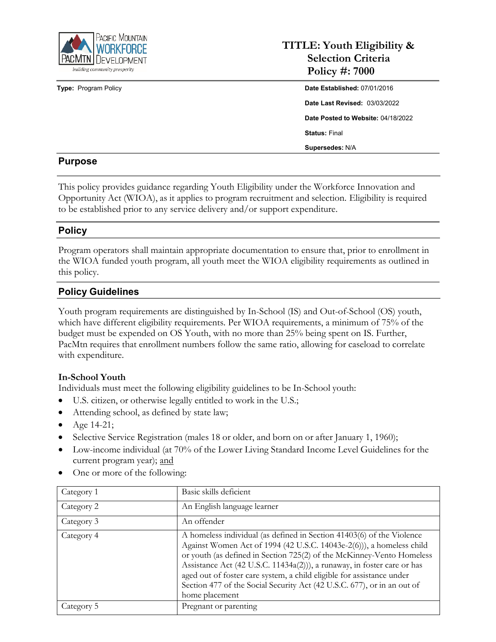

**Type: Program Policy** 

# **TITLE: Youth Eligibility & Selection Criteria Policy #: 7000**

| Date Established: 07/01/2016         |
|--------------------------------------|
| <b>Date Last Revised: 03/03/2022</b> |
| Date Posted to Website: 04/18/2022   |
| <b>Status: Final</b>                 |
| Supersedes: N/A                      |

#### **Purpose**

This policy provides guidance regarding Youth Eligibility under the Workforce Innovation and Opportunity Act (WIOA), as it applies to program recruitment and selection. Eligibility is required to be established prior to any service delivery and/or support expenditure.

#### **Policy**

Program operators shall maintain appropriate documentation to ensure that, prior to enrollment in the WIOA funded youth program, all youth meet the WIOA eligibility requirements as outlined in this policy.

#### **Policy Guidelines**

Youth program requirements are distinguished by In-School (IS) and Out-of-School (OS) youth, which have different eligibility requirements. Per WIOA requirements, a minimum of 75% of the budget must be expended on OS Youth, with no more than 25% being spent on IS. Further, PacMtn requires that enrollment numbers follow the same ratio, allowing for caseload to correlate with expenditure.

#### **In-School Youth**

Individuals must meet the following eligibility guidelines to be In-School youth:

- U.S. citizen, or otherwise legally entitled to work in the U.S.;
- Attending school, as defined by state law;
- Age 14-21;
- Selective Service Registration (males 18 or older, and born on or after January 1, 1960);
- Low-income individual (at 70% of the Lower Living Standard Income Level Guidelines for the current program year); and
- One or more of the following:

| Category 1 | Basic skills deficient                                                                                                                                                                                                                                                                                                                                                                                                                                                  |
|------------|-------------------------------------------------------------------------------------------------------------------------------------------------------------------------------------------------------------------------------------------------------------------------------------------------------------------------------------------------------------------------------------------------------------------------------------------------------------------------|
| Category 2 | An English language learner                                                                                                                                                                                                                                                                                                                                                                                                                                             |
| Category 3 | An offender                                                                                                                                                                                                                                                                                                                                                                                                                                                             |
| Category 4 | A homeless individual (as defined in Section 41403(6) of the Violence<br>Against Women Act of 1994 (42 U.S.C. 14043e-2(6))), a homeless child<br>or youth (as defined in Section 725(2) of the McKinney-Vento Homeless<br>Assistance Act (42 U.S.C. 11434a(2))), a runaway, in foster care or has<br>aged out of foster care system, a child eligible for assistance under<br>Section 477 of the Social Security Act (42 U.S.C. 677), or in an out of<br>home placement |
| Category 5 | Pregnant or parenting                                                                                                                                                                                                                                                                                                                                                                                                                                                   |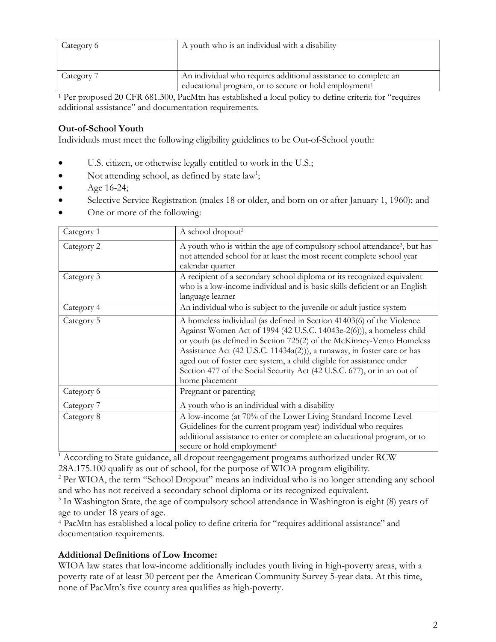| Category 6 | A youth who is an individual with a disability                                                                                       |
|------------|--------------------------------------------------------------------------------------------------------------------------------------|
| Category 7 | An individual who requires additional assistance to complete an<br>educational program, or to secure or hold employment <sup>1</sup> |

1 Per proposed 20 CFR 681.300, PacMtn has established a local policy to define criteria for "requires additional assistance" and documentation requirements.

### **Out-of-School Youth**

Individuals must meet the following eligibility guidelines to be Out-of-School youth:

- U.S. citizen, or otherwise legally entitled to work in the U.S.;
- Not attending school, as defined by state law<sup>1</sup>;
- Age  $16-24$ ;
- Selective Service Registration (males 18 or older, and born on or after January 1, 1960); and
- One or more of the following:

| Category 1 | A school dropout <sup>2</sup>                                                                                                                                                                                                                                                                                                                                                                                                                                           |
|------------|-------------------------------------------------------------------------------------------------------------------------------------------------------------------------------------------------------------------------------------------------------------------------------------------------------------------------------------------------------------------------------------------------------------------------------------------------------------------------|
| Category 2 | A youth who is within the age of compulsory school attendance <sup>3</sup> , but has<br>not attended school for at least the most recent complete school year<br>calendar quarter                                                                                                                                                                                                                                                                                       |
| Category 3 | A recipient of a secondary school diploma or its recognized equivalent<br>who is a low-income individual and is basic skills deficient or an English<br>language learner                                                                                                                                                                                                                                                                                                |
| Category 4 | An individual who is subject to the juvenile or adult justice system                                                                                                                                                                                                                                                                                                                                                                                                    |
| Category 5 | A homeless individual (as defined in Section 41403(6) of the Violence<br>Against Women Act of 1994 (42 U.S.C. 14043e-2(6))), a homeless child<br>or youth (as defined in Section 725(2) of the McKinney-Vento Homeless<br>Assistance Act (42 U.S.C. 11434a(2))), a runaway, in foster care or has<br>aged out of foster care system, a child eligible for assistance under<br>Section 477 of the Social Security Act (42 U.S.C. 677), or in an out of<br>home placement |
| Category 6 | Pregnant or parenting                                                                                                                                                                                                                                                                                                                                                                                                                                                   |
| Category 7 | A youth who is an individual with a disability                                                                                                                                                                                                                                                                                                                                                                                                                          |
| Category 8 | A low-income (at 70% of the Lower Living Standard Income Level<br>Guidelines for the current program year) individual who requires<br>additional assistance to enter or complete an educational program, or to<br>secure or hold employment <sup>4</sup>                                                                                                                                                                                                                |

<sup>1</sup> According to State guidance, all dropout reengagement programs authorized under RCW 28A.175.100 qualify as out of school, for the purpose of WIOA program eligibility.

<sup>2</sup> Per WIOA, the term "School Dropout" means an individual who is no longer attending any school and who has not received a secondary school diploma or its recognized equivalent.

<sup>3</sup> In Washington State, the age of compulsory school attendance in Washington is eight (8) years of age to under 18 years of age.

4 PacMtn has established a local policy to define criteria for "requires additional assistance" and documentation requirements.

#### **Additional Definitions of Low Income:**

WIOA law states that low-income additionally includes youth living in high-poverty areas, with a poverty rate of at least 30 percent per the American Community Survey 5-year data. At this time, none of PacMtn's five county area qualifies as high-poverty.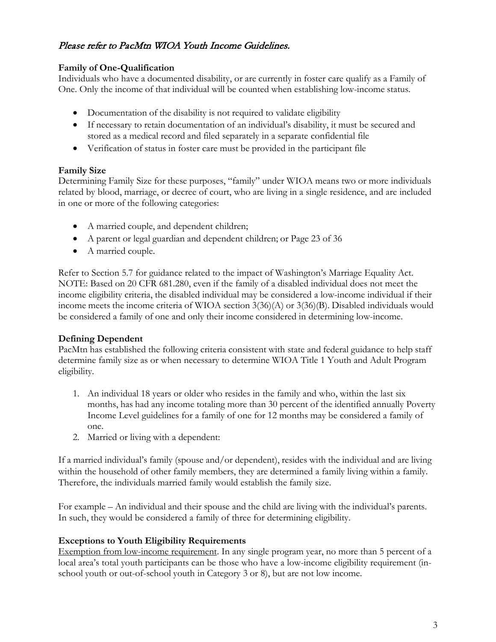# Please refer to PacMtn WIOA Youth Income Guidelines.

#### **Family of One-Qualification**

Individuals who have a documented disability, or are currently in foster care qualify as a Family of One. Only the income of that individual will be counted when establishing low-income status.

- Documentation of the disability is not required to validate eligibility
- If necessary to retain documentation of an individual's disability, it must be secured and stored as a medical record and filed separately in a separate confidential file
- Verification of status in foster care must be provided in the participant file

#### **Family Size**

Determining Family Size for these purposes, "family" under WIOA means two or more individuals related by blood, marriage, or decree of court, who are living in a single residence, and are included in one or more of the following categories:

- A married couple, and dependent children;
- A parent or legal guardian and dependent children; or Page 23 of 36
- A married couple.

Refer to Section 5.7 for guidance related to the impact of Washington's Marriage Equality Act. NOTE: Based on 20 CFR 681.280, even if the family of a disabled individual does not meet the income eligibility criteria, the disabled individual may be considered a low-income individual if their income meets the income criteria of WIOA section 3(36)(A) or 3(36)(B). Disabled individuals would be considered a family of one and only their income considered in determining low-income.

#### **Defining Dependent**

PacMtn has established the following criteria consistent with state and federal guidance to help staff determine family size as or when necessary to determine WIOA Title 1 Youth and Adult Program eligibility.

- 1. An individual 18 years or older who resides in the family and who, within the last six months, has had any income totaling more than 30 percent of the identified annually Poverty Income Level guidelines for a family of one for 12 months may be considered a family of one.
- 2. Married or living with a dependent:

If a married individual's family (spouse and/or dependent), resides with the individual and are living within the household of other family members, they are determined a family living within a family. Therefore, the individuals married family would establish the family size.

For example – An individual and their spouse and the child are living with the individual's parents. In such, they would be considered a family of three for determining eligibility.

#### **Exceptions to Youth Eligibility Requirements**

Exemption from low-income requirement. In any single program year, no more than 5 percent of a local area's total youth participants can be those who have a low-income eligibility requirement (inschool youth or out-of-school youth in Category 3 or 8), but are not low income.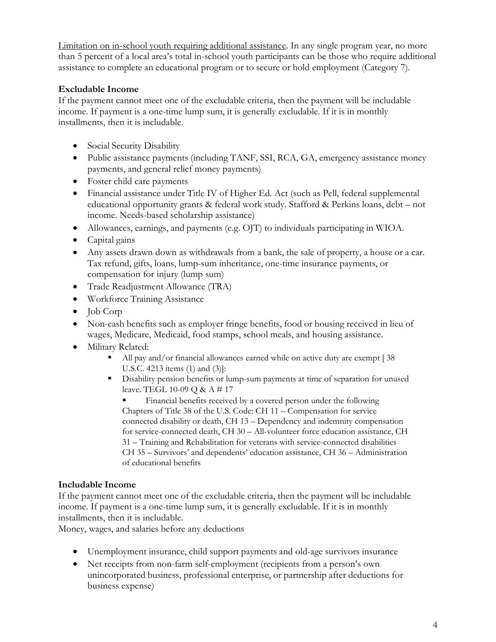Limitation on in-school youth requiring additional assistance. In any single program year, no more than 5 percent of a local area's total in-school youth participants can be those who require additional assistance to complete an educational program or to secure or hold employment (Category 7).

### **Excludable Income**

If the payment cannot meet one of the excludable criteria, then the payment will be includable income. If payment is a one-time lump sum, it is generally excludable. If it is in monthly installments, then it is includable.

- Social Security Disability
- Public assistance payments (including TANF, SSI, RCA, GA, emergency assistance money payments, and general relief money payments)
- Foster child care payments
- Financial assistance under Title IV of Higher Ed. Act (such as Pell, federal supplemental educational opportunity grants & federal work study. Stafford & Perkins loans, debt – not income. Needs-based scholarship assistance)
- Allowances, earnings, and payments (e.g. OJT) to individuals participating in WIOA.
- Capital gains
- Any assets drawn down as withdrawals from a bank, the sale of property, a house or a car. Tax refund, gifts, loans, lump-sum inheritance, one-time insurance payments, or compensation for injury (lump sum)
- Trade Readjustment Allowance (TRA)
- Workforce Training Assistance
- Job Corp
- Non-cash benefits such as employer fringe benefits, food or housing received in lieu of wages, Medicare, Medicaid, food stamps, school meals, and housing assistance.
- Military Related:
	- All pay and/or financial allowances earned while on active duty are exempt [38] U.S.C. 4213 items (1) and (3)]:
	- Disability pension benefits or lump-sum payments at time of separation for unused leave. TEGL 10-09 Q & A # 17

 Financial benefits received by a covered person under the following Chapters of Title 38 of the U.S. Code: CH 11 – Compensation for service connected disability or death, CH 13 – Dependency and indemnity compensation for service-connected death, CH 30 – All-volunteer force education assistance, CH 31 – Training and Rehabilitation for veterans with service-connected disabilities CH 35 – Survivors' and dependents' education assistance, CH 36 – Administration of educational benefits

# **Includable Income**

If the payment cannot meet one of the excludable criteria, then the payment will be includable income. If payment is a one-time lump sum, it is generally excludable. If it is in monthly installments, then it is includable.

Money, wages, and salaries before any deductions

- Unemployment insurance, child support payments and old-age survivors insurance
- Net receipts from non-farm self-employment (recipients from a person's own unincorporated business, professional enterprise, or partnership after deductions for business expense)